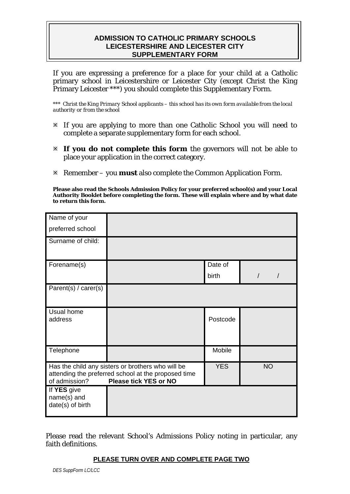## **ADMISSION TO CATHOLIC PRIMARY SCHOOLS LEICESTERSHIRE AND LEICESTER CITY SUPPLEMENTARY FORM**

If you are expressing a preference for a place for your child at a Catholic primary school in Leicestershire or Leicester City (except Christ the King Primary Leicester \*\*\*) you should complete this Supplementary Form.

*\*\*\* Christ the King Primary School applicants – this school has its own form available from the local authority or from the school* 

- Ú If you are applying to more than one Catholic School you will need to complete a separate supplementary form for each school.
- Ú **If you do not complete this form** the governors will not be able to place your application in the correct category.
- Ú Remember you **must** also complete the Common Application Form.

**Please also read the Schools Admission Policy for your preferred school(s) and your Local Authority Booklet before completing the form. These will explain where and by what date to return this form.** 

| Name of your                                                                                                                                              |  |            |           |
|-----------------------------------------------------------------------------------------------------------------------------------------------------------|--|------------|-----------|
| preferred school                                                                                                                                          |  |            |           |
| Surname of child:                                                                                                                                         |  |            |           |
| Forename(s)                                                                                                                                               |  | Date of    |           |
|                                                                                                                                                           |  | birth      |           |
| Parent(s) / carer(s)                                                                                                                                      |  |            |           |
| Usual home<br>address                                                                                                                                     |  | Postcode   |           |
| Telephone                                                                                                                                                 |  | Mobile     |           |
| Has the child any sisters or brothers who will be<br>attending the preferred school at the proposed time<br>of admission?<br><b>Please tick YES or NO</b> |  | <b>YES</b> | <b>NO</b> |
| If YES give<br>name(s) and<br>date(s) of birth                                                                                                            |  |            |           |

Please read the relevant School's Admissions Policy noting in particular, any faith definitions.

## **PLEASE TURN OVER AND COMPLETE PAGE TWO**